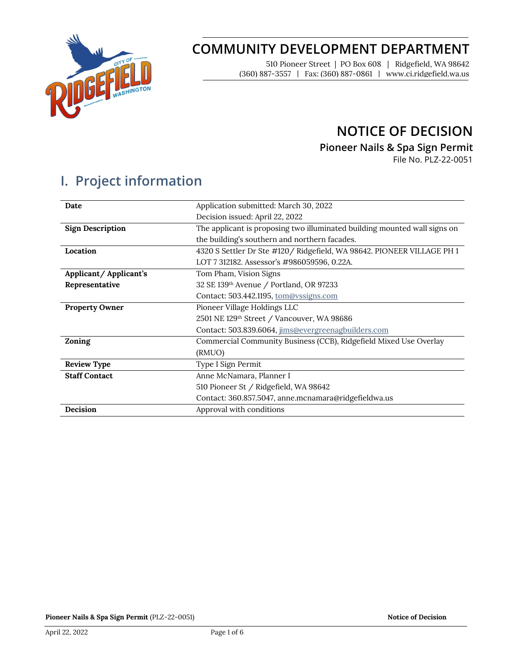

# **COMMUNITY DEVELOPMENT DEPARTMENT**

510 Pioneer Street | PO Box 608 | Ridgefield, WA 98642 (360) 887-3557 | Fax: (360) 887-0861 | www.ci.ridgefield.wa.us

## **NOTICE OF DECISION**

**Pioneer Nails & Spa Sign Permit**

File No. PLZ-22-0051

# **I. Project information**

| Date                    | Application submitted: March 30, 2022                                     |  |
|-------------------------|---------------------------------------------------------------------------|--|
|                         | Decision issued: April 22, 2022                                           |  |
| <b>Sign Description</b> | The applicant is proposing two illuminated building mounted wall signs on |  |
|                         | the building's southern and northern facades.                             |  |
| Location                | 4320 S Settler Dr Ste #120 / Ridgefield, WA 98642. PIONEER VILLAGE PH 1   |  |
|                         | LOT 7 312182. Assessor's #986059596, 0.22A.                               |  |
| Applicant/Applicant's   | Tom Pham, Vision Signs                                                    |  |
| Representative          | 32 SE 139th Avenue / Portland, OR 97233                                   |  |
|                         | Contact: 503.442.1195, tom@yssigns.com                                    |  |
| <b>Property Owner</b>   | Pioneer Village Holdings LLC                                              |  |
|                         | 2501 NE 129th Street / Vancouver, WA 98686                                |  |
|                         | Contact: 503.839.6064, jims@evergreenagbuilders.com                       |  |
| Zoning                  | Commercial Community Business (CCB), Ridgefield Mixed Use Overlay         |  |
|                         | (RMUO)                                                                    |  |
| <b>Review Type</b>      | Type I Sign Permit                                                        |  |
| <b>Staff Contact</b>    | Anne McNamara, Planner I                                                  |  |
|                         | 510 Pioneer St / Ridgefield, WA 98642                                     |  |
|                         | Contact: 360.857.5047, anne.mcnamara@ridgefieldwa.us                      |  |
| Decision                | Approval with conditions                                                  |  |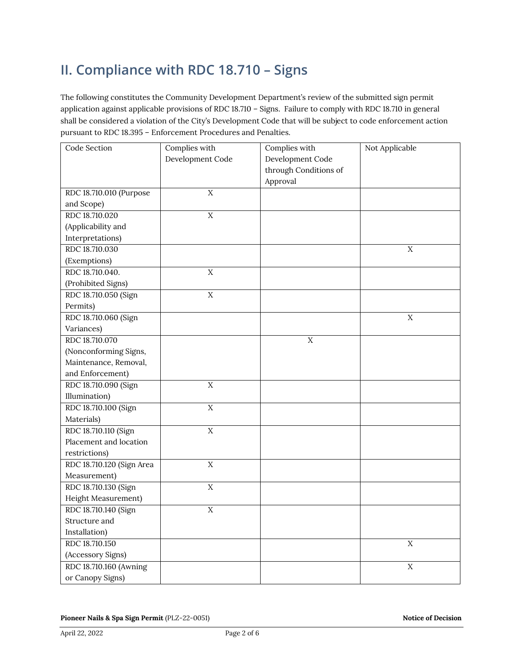# **II. Compliance with RDC 18.710 – Signs**

The following constitutes the Community Development Department's review of the submitted sign permit application against applicable provisions of RDC 18.710 – Signs. Failure to comply with RDC 18.710 in general shall be considered a violation of the City's Development Code that will be subject to code enforcement action pursuant to RDC 18.395 – Enforcement Procedures and Penalties.

| Code Section              | Complies with    | Complies with         | Not Applicable |
|---------------------------|------------------|-----------------------|----------------|
|                           | Development Code | Development Code      |                |
|                           |                  | through Conditions of |                |
|                           |                  | Approval              |                |
| RDC 18.710.010 (Purpose   | $\mathbf X$      |                       |                |
| and Scope)                |                  |                       |                |
| RDC 18.710.020            | $\overline{X}$   |                       |                |
| (Applicability and        |                  |                       |                |
| Interpretations)          |                  |                       |                |
| RDC 18.710.030            |                  |                       | $\mathbf X$    |
| (Exemptions)              |                  |                       |                |
| RDC 18.710.040.           | $\mathbf X$      |                       |                |
| (Prohibited Signs)        |                  |                       |                |
| RDC 18.710.050 (Sign      | $\rm X$          |                       |                |
| Permits)                  |                  |                       |                |
| RDC 18.710.060 (Sign      |                  |                       | $\mathbf X$    |
| Variances)                |                  |                       |                |
| RDC 18.710.070            |                  | $\mathbf X$           |                |
| (Nonconforming Signs,     |                  |                       |                |
| Maintenance, Removal,     |                  |                       |                |
| and Enforcement)          |                  |                       |                |
| RDC 18.710.090 (Sign      | $\mathbf X$      |                       |                |
| Illumination)             |                  |                       |                |
| RDC 18.710.100 (Sign      | $\overline{X}$   |                       |                |
| Materials)                |                  |                       |                |
| RDC 18.710.110 (Sign      | $\overline{X}$   |                       |                |
| Placement and location    |                  |                       |                |
| restrictions)             |                  |                       |                |
| RDC 18.710.120 (Sign Area | $\rm X$          |                       |                |
| Measurement)              |                  |                       |                |
| RDC 18.710.130 (Sign      | $\mathbf X$      |                       |                |
| Height Measurement)       |                  |                       |                |
| RDC 18.710.140 (Sign      | $\mathbf X$      |                       |                |
| Structure and             |                  |                       |                |
| Installation)             |                  |                       |                |
| RDC 18.710.150            |                  |                       | $\mathbf X$    |
| (Accessory Signs)         |                  |                       |                |
| RDC 18.710.160 (Awning    |                  |                       | $\overline{X}$ |
| or Canopy Signs)          |                  |                       |                |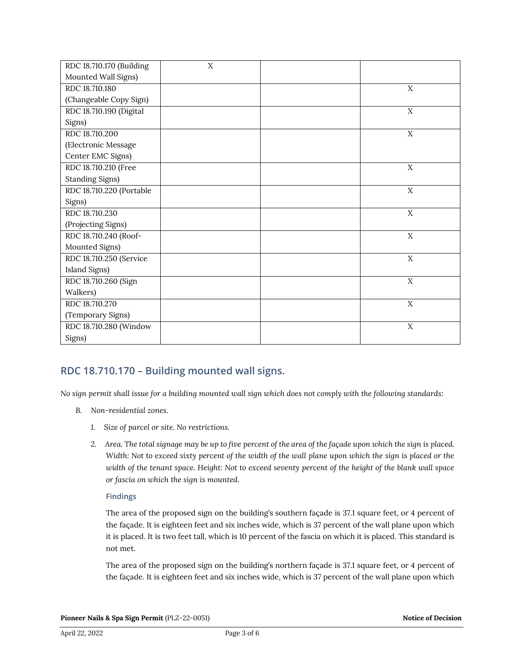| RDC 18.710.170 (Building | X |             |
|--------------------------|---|-------------|
| Mounted Wall Signs)      |   |             |
| RDC 18.710.180           |   | X           |
| (Changeable Copy Sign)   |   |             |
| RDC 18.710.190 (Digital  |   | X           |
| Signs)                   |   |             |
| RDC 18.710.200           |   | X           |
| (Electronic Message      |   |             |
| Center EMC Signs)        |   |             |
| RDC 18.710.210 (Free     |   | $\mathbf X$ |
| <b>Standing Signs)</b>   |   |             |
| RDC 18.710.220 (Portable |   | $\mathbf X$ |
| Signs)                   |   |             |
| RDC 18.710.230           |   | $\mathbf X$ |
| (Projecting Signs)       |   |             |
| RDC 18.710.240 (Roof-    |   | X           |
| Mounted Signs)           |   |             |
| RDC 18.710.250 (Service  |   | $\mathbf X$ |
| Island Signs)            |   |             |
| RDC 18.710.260 (Sign     |   | X           |
| Walkers)                 |   |             |
| RDC 18.710.270           |   | $\mathbf X$ |
| (Temporary Signs)        |   |             |
| RDC 18.710.280 (Window   |   | X           |
| Signs)                   |   |             |

### **RDC 18.710.170 – Building mounted wall signs.**

*No sign permit shall issue for a building mounted wall sign which does not comply with the following standards:* 

- *B. Non-residential zones.* 
	- *1. Size of parcel or site. No restrictions.*
	- *2. Area. The total signage may be up to five percent of the area of the façade upon which the sign is placed. Width: Not to exceed sixty percent of the width of the wall plane upon which the sign is placed or the width of the tenant space. Height: Not to exceed seventy percent of the height of the blank wall space or fascia on which the sign is mounted.*

#### **Findings**

The area of the proposed sign on the building's southern façade is 37.1 square feet, or 4 percent of the façade. It is eighteen feet and six inches wide, which is 37 percent of the wall plane upon which it is placed. It is two feet tall, which is 10 percent of the fascia on which it is placed. This standard is not met.

The area of the proposed sign on the building's northern façade is 37.1 square feet, or 4 percent of the façade. It is eighteen feet and six inches wide, which is 37 percent of the wall plane upon which

**Pioneer Nails & Spa Sign Permit** (PLZ-22-0051) **Notice of Decision**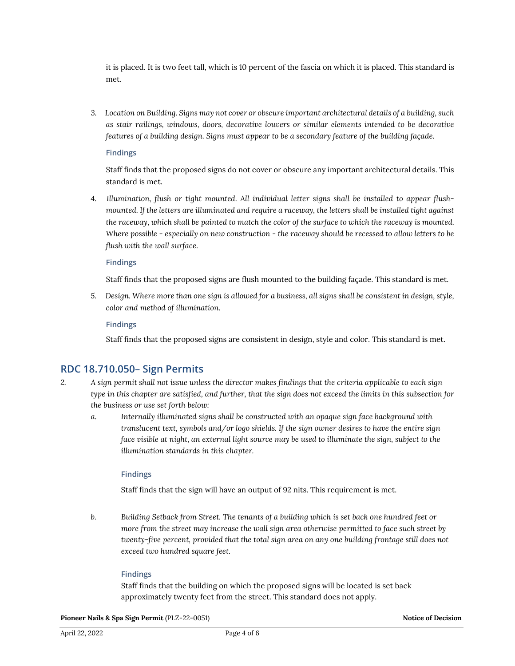it is placed. It is two feet tall, which is 10 percent of the fascia on which it is placed. This standard is met.

*3. Location on Building. Signs may not cover or obscure important architectural details of a building, such as stair railings, windows, doors, decorative louvers or similar elements intended to be decorative features of a building design. Signs must appear to be a secondary feature of the building façade.*

#### **Findings**

Staff finds that the proposed signs do not cover or obscure any important architectural details. This standard is met.

*4. Illumination, flush or tight mounted. All individual letter signs shall be installed to appear flushmounted. If the letters are illuminated and require a raceway, the letters shall be installed tight against the raceway, which shall be painted to match the color of the surface to which the raceway is mounted. Where possible - especially on new construction - the raceway should be recessed to allow letters to be flush with the wall surface.*

#### **Findings**

Staff finds that the proposed signs are flush mounted to the building façade. This standard is met.

*5. Design. Where more than one sign is allowed for a business, all signs shall be consistent in design, style, color and method of illumination.*

#### **Findings**

Staff finds that the proposed signs are consistent in design, style and color. This standard is met.

### **RDC 18.710.050– Sign Permits**

- *2. A sign permit shall not issue unless the director makes findings that the criteria applicable to each sign type in this chapter are satisfied, and further, that the sign does not exceed the limits in this subsection for the business or use set forth below:*
	- *a. Internally illuminated signs shall be constructed with an opaque sign face background with translucent text, symbols and/or logo shields. If the sign owner desires to have the entire sign face visible at night, an external light source may be used to illuminate the sign, subject to the illumination standards in this chapter.*

#### **Findings**

Staff finds that the sign will have an output of 92 nits. This requirement is met.

*b. Building Setback from Street. The tenants of a building which is set back one hundred feet or more from the street may increase the wall sign area otherwise permitted to face such street by twenty-five percent, provided that the total sign area on any one building frontage still does not exceed two hundred square feet.*

#### **Findings**

Staff finds that the building on which the proposed signs will be located is set back approximately twenty feet from the street. This standard does not apply.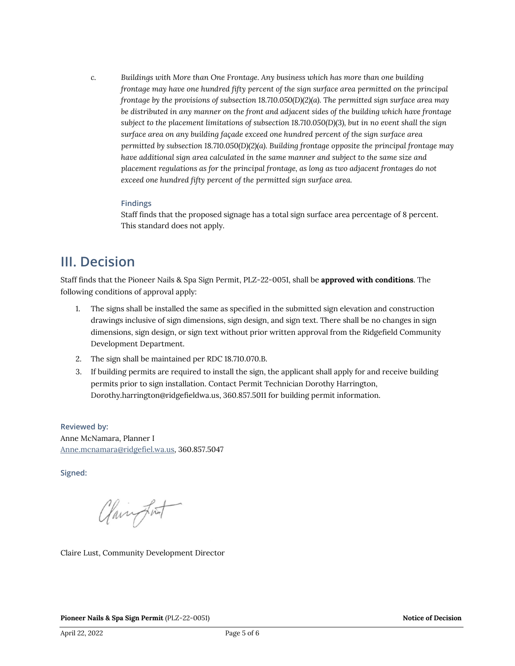*c. Buildings with More than One Frontage. Any business which has more than one building frontage may have one hundred fifty percent of the sign surface area permitted on the principal frontage by the provisions of subsection 18.710.050(D)(2)(a). The permitted sign surface area may be distributed in any manner on the front and adjacent sides of the building which have frontage subject to the placement limitations of subsection 18.710.050(D)(3), but in no event shall the sign surface area on any building façade exceed one hundred percent of the sign surface area permitted by subsection 18.710.050(D)(2)(a). Building frontage opposite the principal frontage may have additional sign area calculated in the same manner and subject to the same size and placement regulations as for the principal frontage, as long as two adjacent frontages do not exceed one hundred fifty percent of the permitted sign surface area.*

#### **Findings**

Staff finds that the proposed signage has a total sign surface area percentage of 8 percent. This standard does not apply.

### **III. Decision**

Staff finds that the Pioneer Nails & Spa Sign Permit, PLZ-22-0051, shall be **approved with conditions**. The following conditions of approval apply:

- 1. The signs shall be installed the same as specified in the submitted sign elevation and construction drawings inclusive of sign dimensions, sign design, and sign text. There shall be no changes in sign dimensions, sign design, or sign text without prior written approval from the Ridgefield Community Development Department.
- 2. The sign shall be maintained per RDC 18.710.070.B.
- 3. If building permits are required to install the sign, the applicant shall apply for and receive building permits prior to sign installation. Contact Permit Technician Dorothy Harrington, Dorothy.harrington@ridgefieldwa.us, 360.857.5011 for building permit information.

**Reviewed by:** Anne McNamara, Planner I [Anne.mcnamara@ridgefiel.wa.us,](mailto:Anne.mcnamara@ridgefiel.wa.us) 360.857.5047

**Signed:** 

Clairport

Claire Lust, Community Development Director